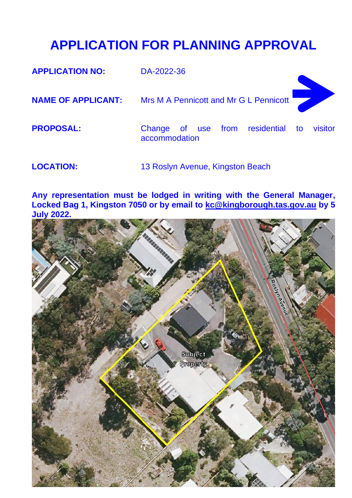## **APPLICATION FOR PLANNING APPROVAL**

| <b>APPLICATION NO:</b>    | DA-2022-36                                                    |  |
|---------------------------|---------------------------------------------------------------|--|
| <b>NAME OF APPLICANT:</b> | Mrs M A Pennicott and Mr G L Pennicott                        |  |
| <b>PROPOSAL:</b>          | Change of use from residential to<br>visitor<br>accommodation |  |
| <b>LOCATION:</b>          | 13 Roslyn Avenue, Kingston Beach                              |  |

**Any representation must be lodged in writing with the General Manager, Locked Bag 1, Kingston 7050 or by email to [kc@kingborough.tas.gov.au](mailto:kc@kingborough.tas.gov.au) by 5 July 2022.**

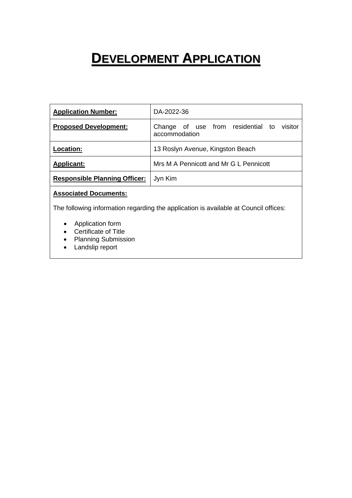## **DEVELOPMENT APPLICATION**

| <b>Application Number:</b>           | DA-2022-36                                                       |  |  |
|--------------------------------------|------------------------------------------------------------------|--|--|
| <b>Proposed Development:</b>         | of use from residential to<br>visitor<br>Change<br>accommodation |  |  |
| <b>Location:</b>                     | 13 Roslyn Avenue, Kingston Beach                                 |  |  |
| <b>Applicant:</b>                    | Mrs M A Pennicott and Mr G L Pennicott                           |  |  |
| <b>Responsible Planning Officer:</b> | Jyn Kim                                                          |  |  |

## **Associated Documents:**

The following information regarding the application is available at Council offices:

- Application form
- Certificate of Title
- Planning Submission
- Landslip report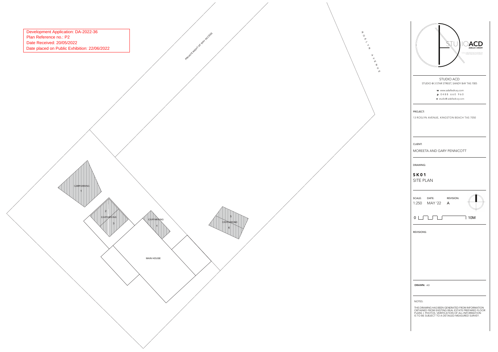|                                                                                                                                                                                                                       | COLLABORATIVE INTERIOR |
|-----------------------------------------------------------------------------------------------------------------------------------------------------------------------------------------------------------------------|------------------------|
| <b>STUDIO ACD</b>                                                                                                                                                                                                     |                        |
| STUDIO @ 3 STAR STREET, SANDY BAY TAS 7005<br>w www.adelledrury.com<br>p 0488 660 960<br>e studio@.adelledrury.com                                                                                                    |                        |
| PROJECT:<br>13 ROSLYN AVENUE, KINGSTON BEACH TAS 7050                                                                                                                                                                 |                        |
| CLIENT:<br><b>MOREETA AND GARY PENNICOTT</b>                                                                                                                                                                          |                        |
| DRAWING:<br><b>SK01</b><br><b>SITE PLAN</b><br>SCALE: DATE:<br>1:250 MAY'22 A                                                                                                                                         | <b>REVISION:</b>       |
| $0\lfloor\,\rfloor$                                                                                                                                                                                                   | I<br>10M               |
| <b>REVISIONS:</b>                                                                                                                                                                                                     |                        |
| <b>DRAWN: AD</b>                                                                                                                                                                                                      |                        |
| NOTES:<br>THIS DRAWING HAS BEEN GENERATED FROM INFORMATION<br>OBTAINED FROM EXISTING REAL ESTATE PREPARED FLOOR<br>PLANS + PHOTOS. VERIFICATION OF ALL INFORMATION<br>IS TO BE SUBJECT TO A DETAILED MEASURED SURVEY. |                        |

Development Application: DA-2022-36<br>
Plan Reference no.: P2<br>
Date Received: 20/05/2022<br>
Date placed on Public Exhibition: 22/06/2022

MAIN HOUSE

CARPA

CARPARKING

CARPARKING 1

3

12

4

**CARPARKING** 

5

**PARK ROOM OF WAY ACCESS** 

6